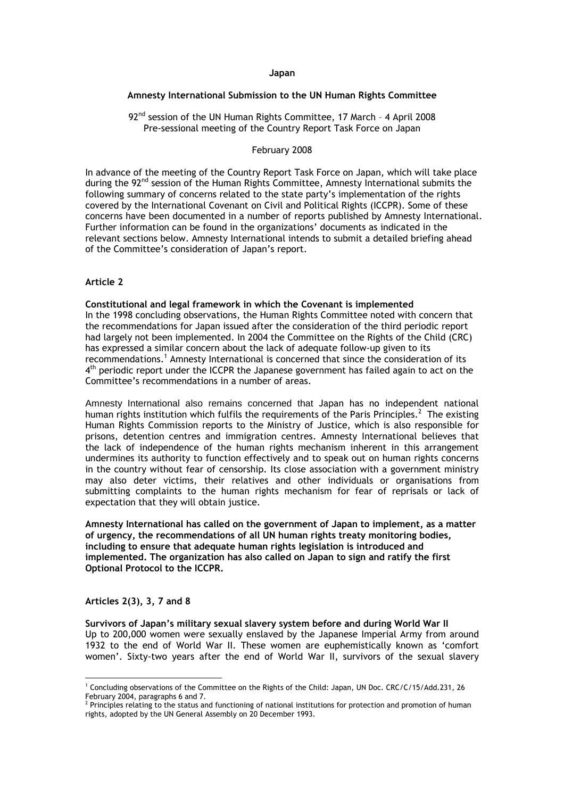#### Japan

#### Amnesty International Submission to the UN Human Rights Committee

 $92<sup>nd</sup>$  session of the UN Human Rights Committee, 17 March - 4 April 2008 Pre-sessional meeting of the Country Report Task Force on Japan

# February 2008

In advance of the meeting of the Country Report Task Force on Japan, which will take place during the 92<sup>nd</sup> session of the Human Rights Committee, Amnesty International submits the following summary of concerns related to the state party's implementation of the rights covered by the International Covenant on Civil and Political Rights (ICCPR). Some of these concerns have been documented in a number of reports published by Amnesty International. Further information can be found in the organizations' documents as indicated in the relevant sections below. Amnesty International intends to submit a detailed briefing ahead of the Committee's consideration of Japan's report.

# Article 2

# Constitutional and legal framework in which the Covenant is implemented In the 1998 concluding observations, the Human Rights Committee noted with concern that the recommendations for Japan issued after the consideration of the third periodic report had largely not been implemented. In 2004 the Committee on the Rights of the Child (CRC) has expressed a similar concern about the lack of adequate follow-up given to its recommendations.<sup>1</sup> Amnesty International is concerned that since the consideration of its 4<sup>th</sup> periodic report under the ICCPR the Japanese government has failed again to act on the Committee's recommendations in a number of areas.

Amnesty International also remains concerned that Japan has no independent national human rights institution which fulfils the requirements of the Paris Principles.<sup>2</sup> The existing Human Rights Commission reports to the Ministry of Justice, which is also responsible for prisons, detention centres and immigration centres. Amnesty International believes that the lack of independence of the human rights mechanism inherent in this arrangement undermines its authority to function effectively and to speak out on human rights concerns in the country without fear of censorship. Its close association with a government ministry may also deter victims, their relatives and other individuals or organisations from submitting complaints to the human rights mechanism for fear of reprisals or lack of expectation that they will obtain justice.

Amnesty International has called on the government of Japan to implement, as a matter of urgency, the recommendations of all UN human rights treaty monitoring bodies, including to ensure that adequate human rights legislation is introduced and implemented. The organization has also called on Japan to sign and ratify the first Optional Protocol to the ICCPR.

### Articles 2(3), 3, 7 and 8

Survivors of Japan's military sexual slavery system before and during World War II Up to 200,000 women were sexually enslaved by the Japanese Imperial Army from around 1932 to the end of World War II. These women are euphemistically known as 'comfort women'. Sixty-two years after the end of World War II, survivors of the sexual slavery

 $\overline{a}$ <sup>1</sup> Concluding observations of the Committee on the Rights of the Child: Japan, UN Doc. CRC/C/15/Add.231, 26 February 2004, paragraphs 6 and 7.<br><sup>2</sup> Principles relating to the status and functioning of national institutions for protection and promotion of human

rights, adopted by the UN General Assembly on 20 December 1993.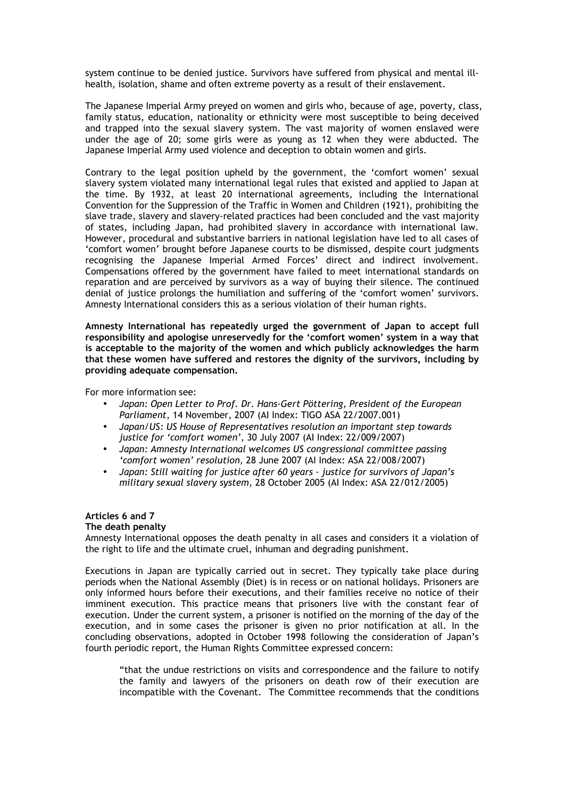system continue to be denied justice. Survivors have suffered from physical and mental illhealth, isolation, shame and often extreme poverty as a result of their enslavement.

The Japanese Imperial Army preyed on women and girls who, because of age, poverty, class, family status, education, nationality or ethnicity were most susceptible to being deceived and trapped into the sexual slavery system. The vast majority of women enslaved were under the age of 20; some girls were as young as 12 when they were abducted. The Japanese Imperial Army used violence and deception to obtain women and girls.

Contrary to the legal position upheld by the government, the 'comfort women' sexual slavery system violated many international legal rules that existed and applied to Japan at the time. By 1932, at least 20 international agreements, including the International Convention for the Suppression of the Traffic in Women and Children (1921), prohibiting the slave trade, slavery and slavery-related practices had been concluded and the vast majority of states, including Japan, had prohibited slavery in accordance with international law. However, procedural and substantive barriers in national legislation have led to all cases of 'comfort women' brought before Japanese courts to be dismissed, despite court judgments recognising the Japanese Imperial Armed Forces' direct and indirect involvement. Compensations offered by the government have failed to meet international standards on reparation and are perceived by survivors as a way of buying their silence. The continued denial of justice prolongs the humiliation and suffering of the 'comfort women' survivors. Amnesty International considers this as a serious violation of their human rights.

Amnesty International has repeatedly urged the government of Japan to accept full responsibility and apologise unreservedly for the 'comfort women' system in a way that is acceptable to the majority of the women and which publicly acknowledges the harm that these women have suffered and restores the dignity of the survivors, including by providing adequate compensation.

For more information see:

- Japan: Open Letter to Prof. Dr. Hans-Gert Pöttering, President of the European Parliament, 14 November, 2007 (AI Index: TIGO ASA 22/2007.001)
- Japan/US: US House of Representatives resolution an important step towards justice for 'comfort women', 30 July 2007 (AI Index: 22/009/2007)
- Japan: Amnesty International welcomes US congressional committee passing 'comfort women' resolution, 28 June 2007 (AI Index: ASA 22/008/2007)
- Japan: Still waiting for justice after 60 years justice for survivors of Japan's military sexual slavery system, 28 October 2005 (AI Index: ASA 22/012/2005)

# Articles 6 and 7

#### The death penalty

Amnesty International opposes the death penalty in all cases and considers it a violation of the right to life and the ultimate cruel, inhuman and degrading punishment.

Executions in Japan are typically carried out in secret. They typically take place during periods when the National Assembly (Diet) is in recess or on national holidays. Prisoners are only informed hours before their executions, and their families receive no notice of their imminent execution. This practice means that prisoners live with the constant fear of execution. Under the current system, a prisoner is notified on the morning of the day of the execution, and in some cases the prisoner is given no prior notification at all. In the concluding observations, adopted in October 1998 following the consideration of Japan's fourth periodic report, the Human Rights Committee expressed concern:

"that the undue restrictions on visits and correspondence and the failure to notify the family and lawyers of the prisoners on death row of their execution are incompatible with the Covenant. The Committee recommends that the conditions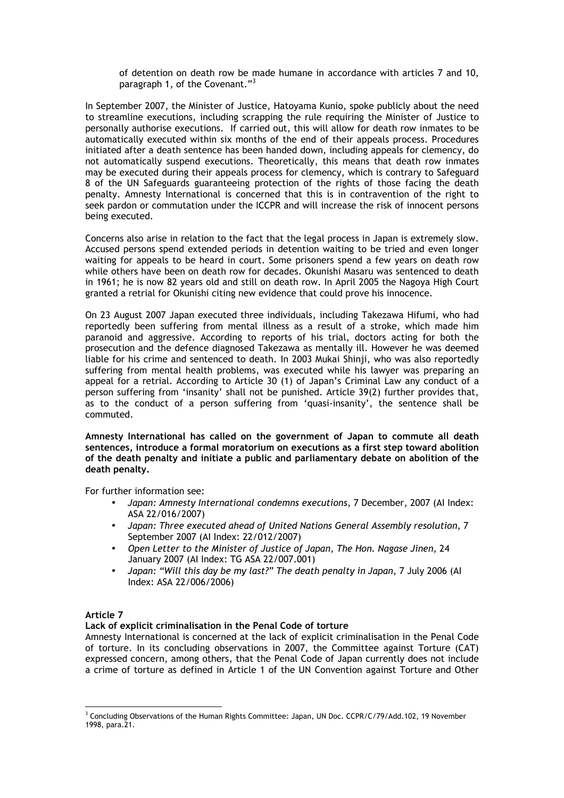of detention on death row be made humane in accordance with articles 7 and 10, paragraph 1, of the Covenant." $^3$ 

In September 2007, the Minister of Justice, Hatoyama Kunio, spoke publicly about the need to streamline executions, including scrapping the rule requiring the Minister of Justice to personally authorise executions. If carried out, this will allow for death row inmates to be automatically executed within six months of the end of their appeals process. Procedures initiated after a death sentence has been handed down, including appeals for clemency, do not automatically suspend executions. Theoretically, this means that death row inmates may be executed during their appeals process for clemency, which is contrary to Safeguard 8 of the UN Safeguards guaranteeing protection of the rights of those facing the death penalty. Amnesty International is concerned that this is in contravention of the right to seek pardon or commutation under the ICCPR and will increase the risk of innocent persons being executed.

Concerns also arise in relation to the fact that the legal process in Japan is extremely slow. Accused persons spend extended periods in detention waiting to be tried and even longer waiting for appeals to be heard in court. Some prisoners spend a few years on death row while others have been on death row for decades. Okunishi Masaru was sentenced to death in 1961; he is now 82 years old and still on death row. In April 2005 the Nagoya High Court granted a retrial for Okunishi citing new evidence that could prove his innocence.

On 23 August 2007 Japan executed three individuals, including Takezawa Hifumi, who had reportedly been suffering from mental illness as a result of a stroke, which made him paranoid and aggressive. According to reports of his trial, doctors acting for both the prosecution and the defence diagnosed Takezawa as mentally ill. However he was deemed liable for his crime and sentenced to death. In 2003 Mukai Shinji, who was also reportedly suffering from mental health problems, was executed while his lawyer was preparing an appeal for a retrial. According to Article 30 (1) of Japan's Criminal Law any conduct of a person suffering from 'insanity' shall not be punished. Article 39(2) further provides that, as to the conduct of a person suffering from 'quasi-insanity', the sentence shall be commuted.

Amnesty International has called on the government of Japan to commute all death sentences, introduce a formal moratorium on executions as a first step toward abolition of the death penalty and initiate a public and parliamentary debate on abolition of the death penalty.

For further information see:

- Japan: Amnesty International condemns executions, 7 December, 2007 (AI Index: ASA 22/016/2007)
- Japan: Three executed ahead of United Nations General Assembly resolution, 7 September 2007 (AI Index: 22/012/2007)
- Open Letter to the Minister of Justice of Japan, The Hon. Nagase Jinen, 24 January 2007 (AI Index: TG ASA 22/007.001)
- Japan: "Will this day be my last?" The death penalty in Japan, 7 July 2006 (AI Index: ASA 22/006/2006)

# Article 7

# Lack of explicit criminalisation in the Penal Code of torture

Amnesty International is concerned at the lack of explicit criminalisation in the Penal Code of torture. In its concluding observations in 2007, the Committee against Torture (CAT) expressed concern, among others, that the Penal Code of Japan currently does not include a crime of torture as defined in Article 1 of the UN Convention against Torture and Other

 $\overline{a}$ <sup>3</sup> Concluding Observations of the Human Rights Committee: Japan, UN Doc. CCPR/C/79/Add.102, 19 November 1998, para.21.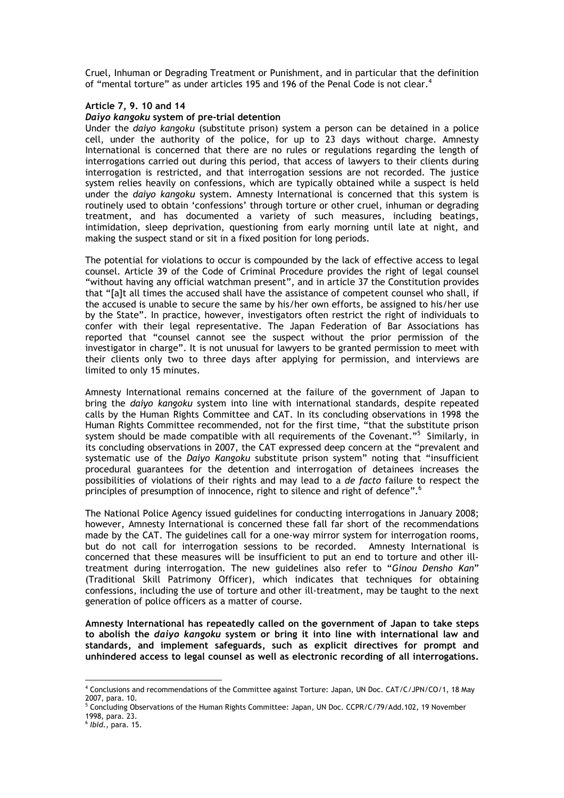Cruel, Inhuman or Degrading Treatment or Punishment, and in particular that the definition of "mental torture" as under articles 195 and 196 of the Penal Code is not clear.

## Article 7, 9. 10 and 14

#### Daiyo kangoku system of pre-trial detention

Under the daiyo kangoku (substitute prison) system a person can be detained in a police cell, under the authority of the police, for up to 23 days without charge. Amnesty International is concerned that there are no rules or regulations regarding the length of interrogations carried out during this period, that access of lawyers to their clients during interrogation is restricted, and that interrogation sessions are not recorded. The justice system relies heavily on confessions, which are typically obtained while a suspect is held under the *daiyo kangoku* system. Amnesty International is concerned that this system is routinely used to obtain 'confessions' through torture or other cruel, inhuman or degrading treatment, and has documented a variety of such measures, including beatings, intimidation, sleep deprivation, questioning from early morning until late at night, and making the suspect stand or sit in a fixed position for long periods.

The potential for violations to occur is compounded by the lack of effective access to legal counsel. Article 39 of the Code of Criminal Procedure provides the right of legal counsel "without having any official watchman present", and in article 37 the Constitution provides that "[a]t all times the accused shall have the assistance of competent counsel who shall, if the accused is unable to secure the same by his/her own efforts, be assigned to his/her use by the State". In practice, however, investigators often restrict the right of individuals to confer with their legal representative. The Japan Federation of Bar Associations has reported that "counsel cannot see the suspect without the prior permission of the investigator in charge". It is not unusual for lawyers to be granted permission to meet with their clients only two to three days after applying for permission, and interviews are limited to only 15 minutes.

Amnesty International remains concerned at the failure of the government of Japan to bring the daiyo kangoku system into line with international standards, despite repeated calls by the Human Rights Committee and CAT. In its concluding observations in 1998 the Human Rights Committee recommended, not for the first time, "that the substitute prison system should be made compatible with all requirements of the Covenant."<sup>5</sup> Similarly, in its concluding observations in 2007, the CAT expressed deep concern at the "prevalent and systematic use of the Daiyo Kangoku substitute prison system" noting that "insufficient procedural guarantees for the detention and interrogation of detainees increases the possibilities of violations of their rights and may lead to a de facto failure to respect the principles of presumption of innocence, right to silence and right of defence".<sup>6</sup>

The National Police Agency issued guidelines for conducting interrogations in January 2008; however, Amnesty International is concerned these fall far short of the recommendations made by the CAT. The guidelines call for a one-way mirror system for interrogation rooms, but do not call for interrogation sessions to be recorded. Amnesty International is concerned that these measures will be insufficient to put an end to torture and other illtreatment during interrogation. The new guidelines also refer to "Ginou Densho Kan" (Traditional Skill Patrimony Officer), which indicates that techniques for obtaining confessions, including the use of torture and other ill-treatment, may be taught to the next generation of police officers as a matter of course.

Amnesty International has repeatedly called on the government of Japan to take steps to abolish the daiyo kangoku system or bring it into line with international law and standards, and implement safeguards, such as explicit directives for prompt and unhindered access to legal counsel as well as electronic recording of all interrogations.

 4 Conclusions and recommendations of the Committee against Torture: Japan, UN Doc. CAT/C/JPN/CO/1, 18 May 2007, para. 10.

<sup>5</sup> Concluding Observations of the Human Rights Committee: Japan, UN Doc. CCPR/C/79/Add.102, 19 November

<sup>1998,</sup> para. 23.

 $^6$  Ibid., para. 15.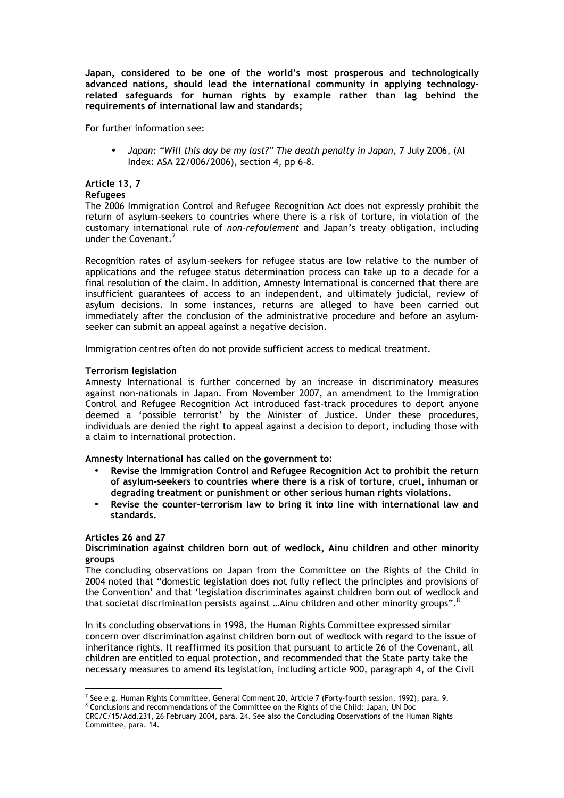Japan, considered to be one of the world's most prosperous and technologically advanced nations, should lead the international community in applying technologyrelated safeguards for human rights by example rather than lag behind the requirements of international law and standards;

For further information see:

• Japan: "Will this day be my last?" The death penalty in Japan, 7 July 2006, (AI Index: ASA 22/006/2006), section 4, pp 6-8.

# Article 13, 7 Refugees

The 2006 Immigration Control and Refugee Recognition Act does not expressly prohibit the return of asylum-seekers to countries where there is a risk of torture, in violation of the customary international rule of non-refoulement and Japan's treaty obligation, including under the Covenant.<sup>7</sup>

Recognition rates of asylum-seekers for refugee status are low relative to the number of applications and the refugee status determination process can take up to a decade for a final resolution of the claim. In addition, Amnesty International is concerned that there are insufficient guarantees of access to an independent, and ultimately judicial, review of asylum decisions. In some instances, returns are alleged to have been carried out immediately after the conclusion of the administrative procedure and before an asylumseeker can submit an appeal against a negative decision.

Immigration centres often do not provide sufficient access to medical treatment.

# Terrorism legislation

Amnesty International is further concerned by an increase in discriminatory measures against non-nationals in Japan. From November 2007, an amendment to the Immigration Control and Refugee Recognition Act introduced fast-track procedures to deport anyone deemed a 'possible terrorist' by the Minister of Justice. Under these procedures, individuals are denied the right to appeal against a decision to deport, including those with a claim to international protection.

Amnesty International has called on the government to:

- Revise the Immigration Control and Refugee Recognition Act to prohibit the return of asylum-seekers to countries where there is a risk of torture, cruel, inhuman or degrading treatment or punishment or other serious human rights violations.
- Revise the counter-terrorism law to bring it into line with international law and standards.

## Articles 26 and 27

# Discrimination against children born out of wedlock, Ainu children and other minority groups

The concluding observations on Japan from the Committee on the Rights of the Child in 2004 noted that "domestic legislation does not fully reflect the principles and provisions of the Convention' and that 'legislation discriminates against children born out of wedlock and that societal discrimination persists against …Ainu children and other minority groups". $^8$ 

In its concluding observations in 1998, the Human Rights Committee expressed similar concern over discrimination against children born out of wedlock with regard to the issue of inheritance rights. It reaffirmed its position that pursuant to article 26 of the Covenant, all children are entitled to equal protection, and recommended that the State party take the necessary measures to amend its legislation, including article 900, paragraph 4, of the Civil

 $\overline{a}$ 7 See e.g. Human Rights Committee, General Comment 20, Article 7 (Forty-fourth session, 1992), para. 9.

<sup>8</sup> Conclusions and recommendations of the Committee on the Rights of the Child: Japan, UN Doc

CRC/C/15/Add.231, 26 February 2004, para. 24. See also the Concluding Observations of the Human Rights Committee, para. 14.